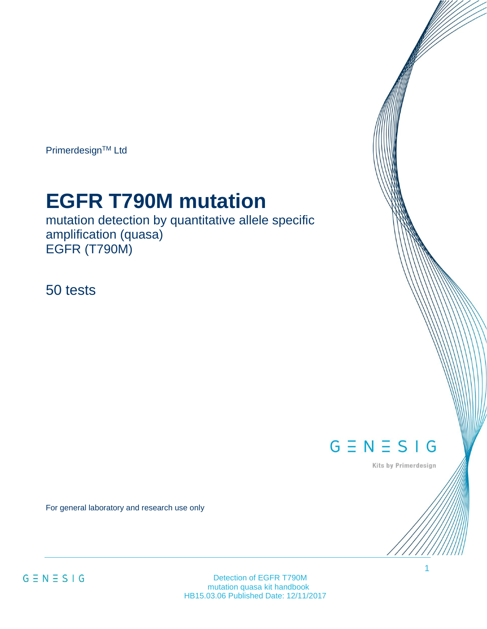Primerdesign™ Ltd

# **EGFR T790M mutation**

mutation detection by quantitative allele specific amplification (quasa) EGFR (T790M)

50 tests

 $G \equiv N \equiv S \mid G$ 

Kits by Primerdesign

1

For general laboratory and research use only

Detection of EGFR T790M mutation quasa kit handbook HB15.03.06 Published Date: 12/11/2017

 $G \equiv N \equiv S \mid G$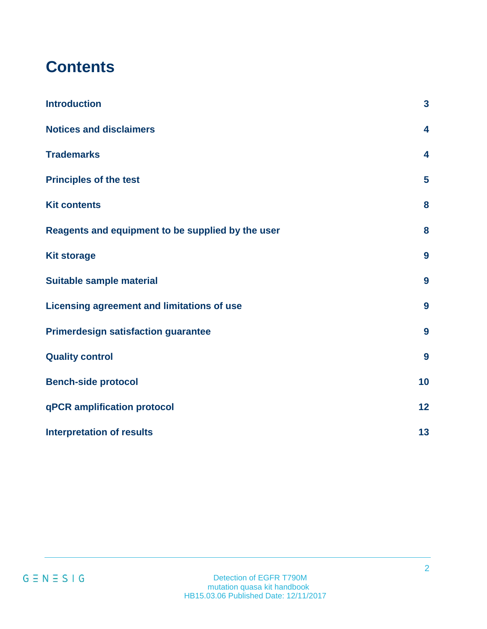# **Contents**

| <b>Introduction</b>                               | $\overline{\mathbf{3}}$ |
|---------------------------------------------------|-------------------------|
| <b>Notices and disclaimers</b>                    | 4                       |
| <b>Trademarks</b>                                 | $\overline{\mathbf{4}}$ |
| <b>Principles of the test</b>                     | $5\phantom{a}$          |
| <b>Kit contents</b>                               | 8                       |
| Reagents and equipment to be supplied by the user | 8                       |
| <b>Kit storage</b>                                | 9                       |
| Suitable sample material                          | 9                       |
| <b>Licensing agreement and limitations of use</b> | 9                       |
| <b>Primerdesign satisfaction guarantee</b>        | 9                       |
| <b>Quality control</b>                            | 9                       |
| <b>Bench-side protocol</b>                        | 10                      |
| qPCR amplification protocol                       | 12                      |
| <b>Interpretation of results</b>                  | 13                      |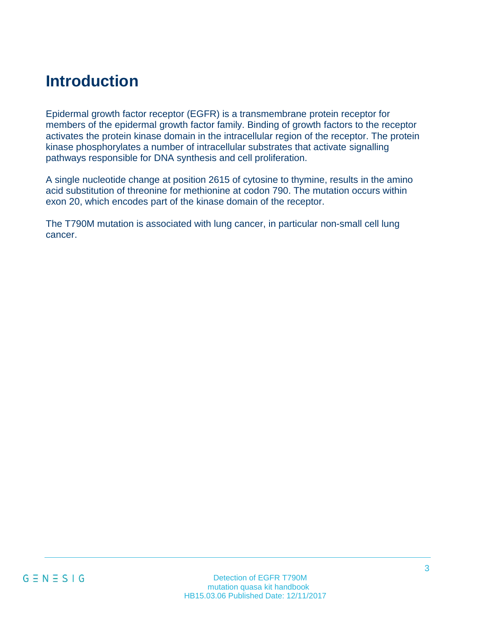# <span id="page-2-0"></span>**Introduction**

Epidermal growth factor receptor (EGFR) is a transmembrane protein receptor for members of the epidermal growth factor family. Binding of growth factors to the receptor activates the protein kinase domain in the intracellular region of the receptor. The protein kinase phosphorylates a number of intracellular substrates that activate signalling pathways responsible for DNA synthesis and cell proliferation.

A single nucleotide change at position 2615 of cytosine to thymine, results in the amino acid substitution of threonine for methionine at codon 790. The mutation occurs within exon 20, which encodes part of the kinase domain of the receptor.

The T790M mutation is associated with lung cancer, in particular non-small cell lung cancer.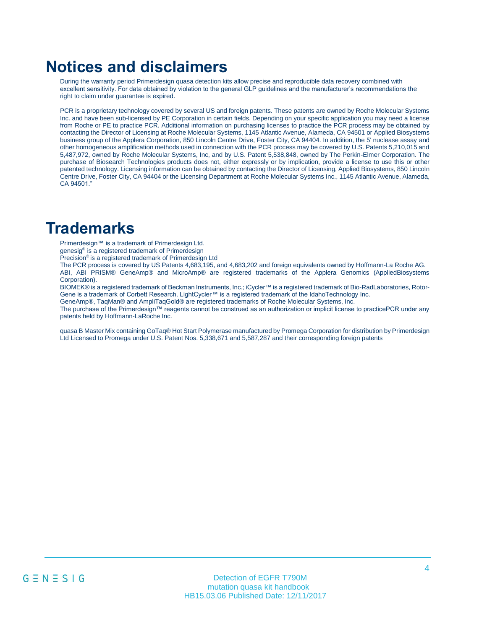### <span id="page-3-0"></span>**Notices and disclaimers**

During the warranty period Primerdesign quasa detection kits allow precise and reproducible data recovery combined with excellent sensitivity. For data obtained by violation to the general GLP guidelines and the manufacturer's recommendations the right to claim under guarantee is expired.

PCR is a proprietary technology covered by several US and foreign patents. These patents are owned by Roche Molecular Systems Inc. and have been sub-licensed by PE Corporation in certain fields. Depending on your specific application you may need a license from Roche or PE to practice PCR. Additional information on purchasing licenses to practice the PCR process may be obtained by contacting the Director of Licensing at Roche Molecular Systems, 1145 Atlantic Avenue, Alameda, CA 94501 or Applied Biosystems business group of the Applera Corporation, 850 Lincoln Centre Drive, Foster City, CA 94404. In addition, the 5' nuclease assay and other homogeneous amplification methods used in connection with the PCR process may be covered by U.S. Patents 5,210,015 and 5,487,972, owned by Roche Molecular Systems, Inc, and by U.S. Patent 5,538,848, owned by The Perkin-Elmer Corporation. The purchase of Biosearch Technologies products does not, either expressly or by implication, provide a license to use this or other patented technology. Licensing information can be obtained by contacting the Director of Licensing, Applied Biosystems, 850 Lincoln Centre Drive, Foster City, CA 94404 or the Licensing Department at Roche Molecular Systems Inc., 1145 Atlantic Avenue, Alameda, CA 94501."

### <span id="page-3-1"></span>**Trademarks**

Primerdesign™ is a trademark of Primerdesign Ltd.

genesig® is a registered trademark of Primerdesign

Precision® is a registered trademark of Primerdesign Ltd

The PCR process is covered by US Patents 4,683,195, and 4,683,202 and foreign equivalents owned by Hoffmann-La Roche AG. ABI, ABI PRISM® GeneAmp® and MicroAmp® are registered trademarks of the Applera Genomics (AppliedBiosystems Corporation).

BIOMEK® is a registered trademark of Beckman Instruments, Inc.; iCycler™ is a registered trademark of Bio-RadLaboratories, Rotor-Gene is a trademark of Corbett Research. LightCycler™ is a registered trademark of the IdahoTechnology Inc.

GeneAmp®, TaqMan® and AmpliTaqGold® are registered trademarks of Roche Molecular Systems, Inc.

The purchase of the Primerdesign™ reagents cannot be construed as an authorization or implicit license to practicePCR under any patents held by Hoffmann-LaRoche Inc.

<span id="page-3-2"></span>quasa B Master Mix containing GoTaq® Hot Start Polymerase manufactured by Promega Corporation for distribution by Primerdesign Ltd Licensed to Promega under U.S. Patent Nos. 5,338,671 and 5,587,287 and their corresponding foreign patents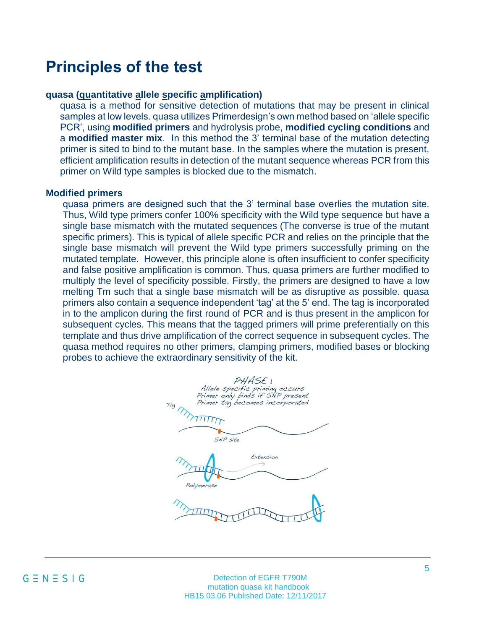### **Principles of the test**

#### **quasa (quantitative allele specific amplification)**

quasa is a method for sensitive detection of mutations that may be present in clinical samples at low levels. quasa utilizes Primerdesign's own method based on 'allele specific PCR', using **modified primers** and hydrolysis probe, **modified cycling conditions** and a **modified master mix**. In this method the 3' terminal base of the mutation detecting primer is sited to bind to the mutant base. In the samples where the mutation is present, efficient amplification results in detection of the mutant sequence whereas PCR from this primer on Wild type samples is blocked due to the mismatch.

### **Modified primers**

quasa primers are designed such that the 3' terminal base overlies the mutation site. Thus, Wild type primers confer 100% specificity with the Wild type sequence but have a single base mismatch with the mutated sequences (The converse is true of the mutant specific primers). This is typical of allele specific PCR and relies on the principle that the single base mismatch will prevent the Wild type primers successfully priming on the mutated template. However, this principle alone is often insufficient to confer specificity and false positive amplification is common. Thus, quasa primers are further modified to multiply the level of specificity possible. Firstly, the primers are designed to have a low melting Tm such that a single base mismatch will be as disruptive as possible. quasa primers also contain a sequence independent 'tag' at the 5' end. The tag is incorporated in to the amplicon during the first round of PCR and is thus present in the amplicon for subsequent cycles. This means that the tagged primers will prime preferentially on this template and thus drive amplification of the correct sequence in subsequent cycles. The quasa method requires no other primers, clamping primers, modified bases or blocking probes to achieve the extraordinary sensitivity of the kit.

PHASEI Allele specific priming occurs<br>Primer only binds if SNP present Primer tag becomes incorporated Tag TITTTTTT SNP site Extension Polymerase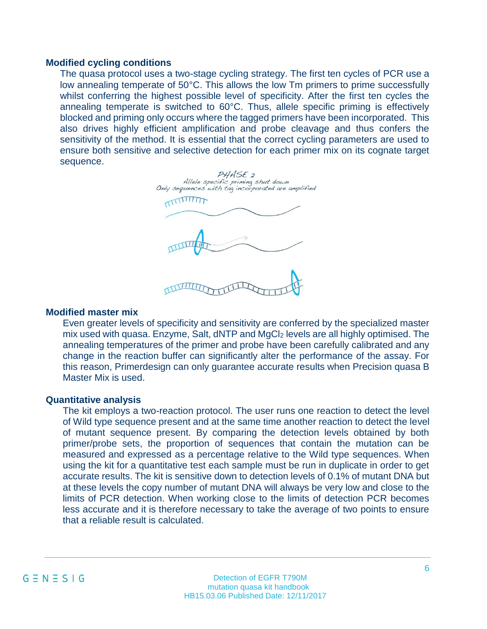#### **Modified cycling conditions**

The quasa protocol uses a two-stage cycling strategy. The first ten cycles of PCR use a low annealing temperate of 50°C. This allows the low Tm primers to prime successfully whilst conferring the highest possible level of specificity. After the first ten cycles the annealing temperate is switched to 60°C. Thus, allele specific priming is effectively blocked and priming only occurs where the tagged primers have been incorporated. This also drives highly efficient amplification and probe cleavage and thus confers the sensitivity of the method. It is essential that the correct cycling parameters are used to ensure both sensitive and selective detection for each primer mix on its cognate target sequence.

PHASE<sub>2</sub> Allele specific priming shut down ly sequences with tag incorporated are amplified 

#### **Modified master mix**

Even greater levels of specificity and sensitivity are conferred by the specialized master mix used with quasa. Enzyme, Salt, dNTP and MgCl<sub>2</sub> levels are all highly optimised. The annealing temperatures of the primer and probe have been carefully calibrated and any change in the reaction buffer can significantly alter the performance of the assay. For this reason, Primerdesign can only guarantee accurate results when Precision quasa B Master Mix is used.

#### **Quantitative analysis**

The kit employs a two-reaction protocol. The user runs one reaction to detect the level of Wild type sequence present and at the same time another reaction to detect the level of mutant sequence present. By comparing the detection levels obtained by both primer/probe sets, the proportion of sequences that contain the mutation can be measured and expressed as a percentage relative to the Wild type sequences. When using the kit for a quantitative test each sample must be run in duplicate in order to get accurate results. The kit is sensitive down to detection levels of 0.1% of mutant DNA but at these levels the copy number of mutant DNA will always be very low and close to the limits of PCR detection. When working close to the limits of detection PCR becomes less accurate and it is therefore necessary to take the average of two points to ensure that a reliable result is calculated.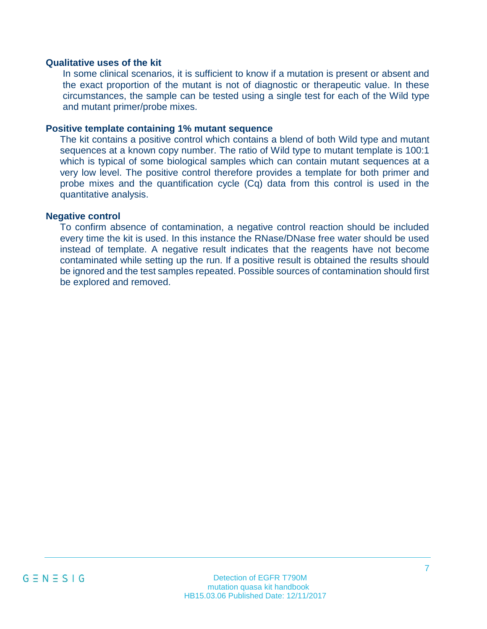### **Qualitative uses of the kit**

In some clinical scenarios, it is sufficient to know if a mutation is present or absent and the exact proportion of the mutant is not of diagnostic or therapeutic value. In these circumstances, the sample can be tested using a single test for each of the Wild type and mutant primer/probe mixes.

### **Positive template containing 1% mutant sequence**

The kit contains a positive control which contains a blend of both Wild type and mutant sequences at a known copy number. The ratio of Wild type to mutant template is 100:1 which is typical of some biological samples which can contain mutant sequences at a very low level. The positive control therefore provides a template for both primer and probe mixes and the quantification cycle (Cq) data from this control is used in the quantitative analysis.

### **Negative control**

To confirm absence of contamination, a negative control reaction should be included every time the kit is used. In this instance the RNase/DNase free water should be used instead of template. A negative result indicates that the reagents have not become contaminated while setting up the run. If a positive result is obtained the results should be ignored and the test samples repeated. Possible sources of contamination should first be explored and removed.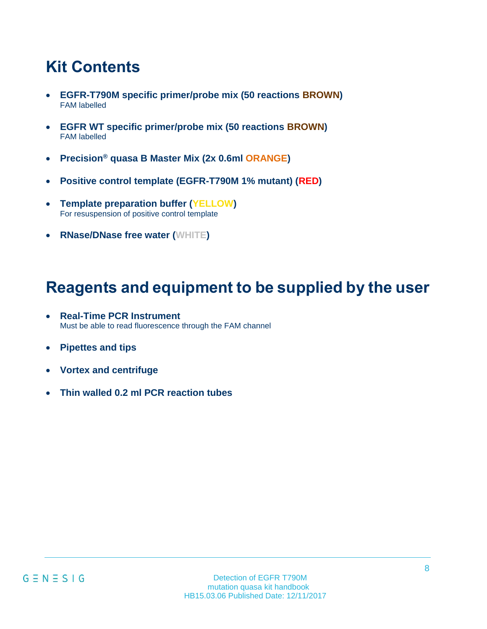# **Kit Contents**

- **EGFR-T790M specific primer/probe mix (50 reactions BROWN)** FAM labelled
- **EGFR WT specific primer/probe mix (50 reactions BROWN)** FAM labelled
- **Precision® quasa B Master Mix (2x 0.6ml ORANGE)**
- **Positive control template (EGFR-T790M 1% mutant) (RED)**
- **Template preparation buffer (YELLOW)** For resuspension of positive control template
- **RNase/DNase free water (WHITE)**

# <span id="page-7-0"></span>**Reagents and equipment to be supplied by the user**

- **Real-Time PCR Instrument** Must be able to read fluorescence through the FAM channel
- **Pipettes and tips**
- **Vortex and centrifuge**
- **Thin walled 0.2 ml PCR reaction tubes**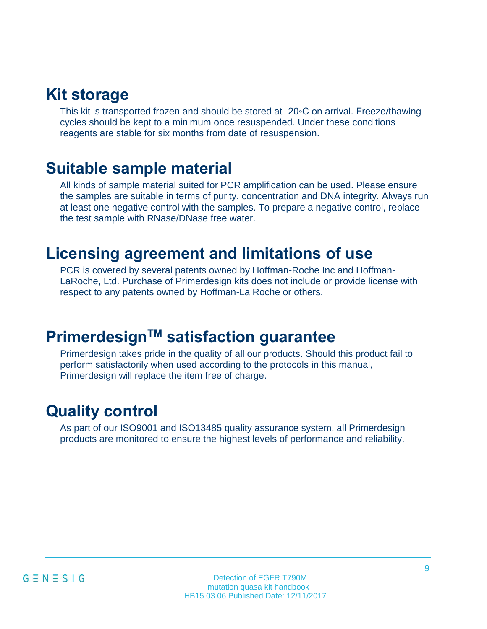### <span id="page-8-0"></span>**Kit storage**

This kit is transported frozen and should be stored at -20◦C on arrival. Freeze/thawing cycles should be kept to a minimum once resuspended. Under these conditions reagents are stable for six months from date of resuspension.

### <span id="page-8-1"></span>**Suitable sample material**

All kinds of sample material suited for PCR amplification can be used. Please ensure the samples are suitable in terms of purity, concentration and DNA integrity. Always run at least one negative control with the samples. To prepare a negative control, replace the test sample with RNase/DNase free water.

### <span id="page-8-2"></span>**Licensing agreement and limitations of use**

PCR is covered by several patents owned by Hoffman-Roche Inc and Hoffman-LaRoche, Ltd. Purchase of Primerdesign kits does not include or provide license with respect to any patents owned by Hoffman-La Roche or others.

# <span id="page-8-3"></span>**PrimerdesignTM satisfaction guarantee**

Primerdesign takes pride in the quality of all our products. Should this product fail to perform satisfactorily when used according to the protocols in this manual, Primerdesign will replace the item free of charge.

### <span id="page-8-4"></span>**Quality control**

As part of our ISO9001 and ISO13485 quality assurance system, all Primerdesign products are monitored to ensure the highest levels of performance and reliability.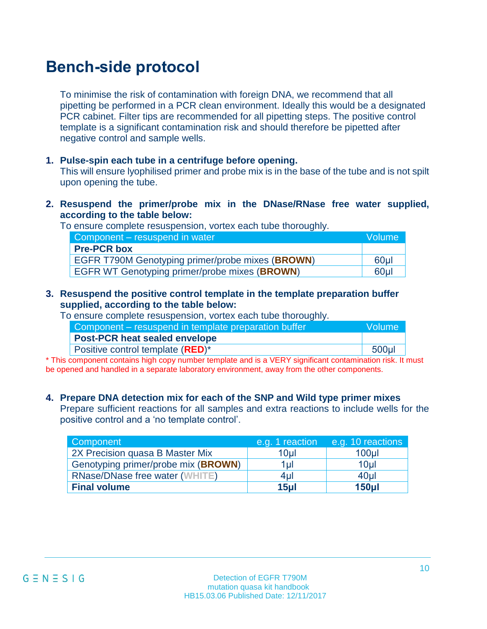# **Bench-side protocol**

To minimise the risk of contamination with foreign DNA, we recommend that all pipetting be performed in a PCR clean environment. Ideally this would be a designated PCR cabinet. Filter tips are recommended for all pipetting steps. The positive control template is a significant contamination risk and should therefore be pipetted after negative control and sample wells.

### **1. Pulse-spin each tube in a centrifuge before opening.**

This will ensure lyophilised primer and probe mix is in the base of the tube and is not spilt upon opening the tube.

**2. Resuspend the primer/probe mix in the DNase/RNase free water supplied, according to the table below:**

To ensure complete resuspension, vortex each tube thoroughly.

| Component – resuspend in water                          | Volume |
|---------------------------------------------------------|--------|
| <b>Pre-PCR box</b>                                      |        |
| <b>EGFR T790M Genotyping primer/probe mixes (BROWN)</b> | 60ul   |
| <b>EGFR WT Genotyping primer/probe mixes (BROWN)</b>    | 60ul   |

### **3. Resuspend the positive control template in the template preparation buffer supplied, according to the table below:**

To ensure complete resuspension, vortex each tube thoroughly.

| Volume   |
|----------|
|          |
| $500$ µl |
|          |

\* This component contains high copy number template and is a VERY significant contamination risk. It must be opened and handled in a separate laboratory environment, away from the other components.

### **4. Prepare DNA detection mix for each of the SNP and Wild type primer mixes**

Prepare sufficient reactions for all samples and extra reactions to include wells for the positive control and a 'no template control'.

| Component                           | e.g. 1 reaction | e.g. 10 reactions |
|-------------------------------------|-----------------|-------------------|
| 2X Precision quasa B Master Mix     | 10 <sub>µ</sub> | 100 <sub>µ</sub>  |
| Genotyping primer/probe mix (BROWN) | 1 <sub>µ</sub>  | 10 <sub>µ</sub>   |
| RNase/DNase free water (WHITE)      | 4ul             | 40ul              |
| <b>Final volume</b>                 | 15ul            | 150 <sub>µ</sub>  |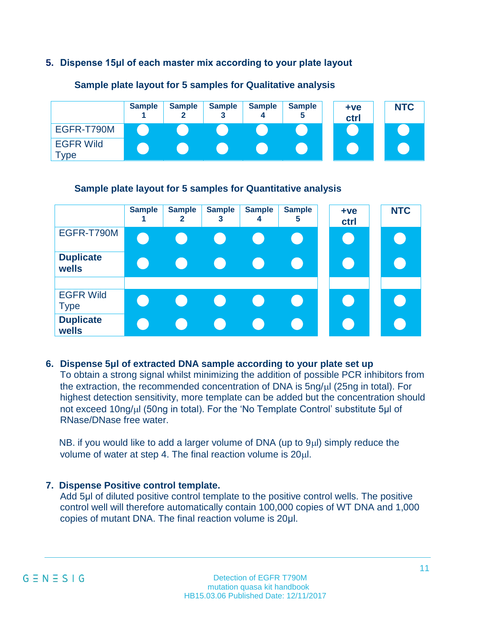### **5. Dispense 15μl of each master mix according to your plate layout**

|                                    | <b>Sample</b> | <b>Sample</b> | <b>Sample</b> | <b>Sample</b> | <b>Sample</b> | $+ve$<br>ctrl | <b>NTC</b> |
|------------------------------------|---------------|---------------|---------------|---------------|---------------|---------------|------------|
| EGFR-T790M                         |               |               |               |               |               |               |            |
| <b>EGFR Wild</b><br>$\mathsf{ype}$ |               |               |               |               |               |               |            |

#### **Sample plate layout for 5 samples for Qualitative analysis**

### **Sample plate layout for 5 samples for Quantitative analysis**

|                                 | <b>Sample</b> | <b>Sample</b><br>$\mathbf{2}$                        | <b>Sample</b><br>3                                   | <b>Sample</b><br>4 | <b>Sample</b><br>5 | $+ve$<br>ctrl | <b>NTC</b> |
|---------------------------------|---------------|------------------------------------------------------|------------------------------------------------------|--------------------|--------------------|---------------|------------|
| EGFR-T790M                      |               |                                                      |                                                      |                    |                    |               |            |
| <b>Duplicate</b><br>wells       |               |                                                      |                                                      |                    |                    |               |            |
| <b>EGFR Wild</b><br><b>Type</b> |               | $\left( \begin{array}{cc} 0 & 1 \end{array} \right)$ | $\left( \begin{array}{c} 0 \\ 0 \end{array} \right)$ | $\sim$             |                    |               |            |
| <b>Duplicate</b><br>wells       |               |                                                      |                                                      |                    |                    |               |            |

### **6. Dispense 5μl of extracted DNA sample according to your plate set up**

To obtain a strong signal whilst minimizing the addition of possible PCR inhibitors from the extraction, the recommended concentration of DNA is  $5nq/ul$  (25ng in total). For highest detection sensitivity, more template can be added but the concentration should not exceed 10ng/ul (50ng in total). For the 'No Template Control' substitute 5µl of RNase/DNase free water.

NB. if you would like to add a larger volume of DNA (up to  $9\mu$ ) simply reduce the volume of water at step 4. The final reaction volume is 20ul.

### **7. Dispense Positive control template.**

Add 5μl of diluted positive control template to the positive control wells. The positive control well will therefore automatically contain 100,000 copies of WT DNA and 1,000 copies of mutant DNA. The final reaction volume is 20μl.

$$
G \equiv N \equiv S \perp G
$$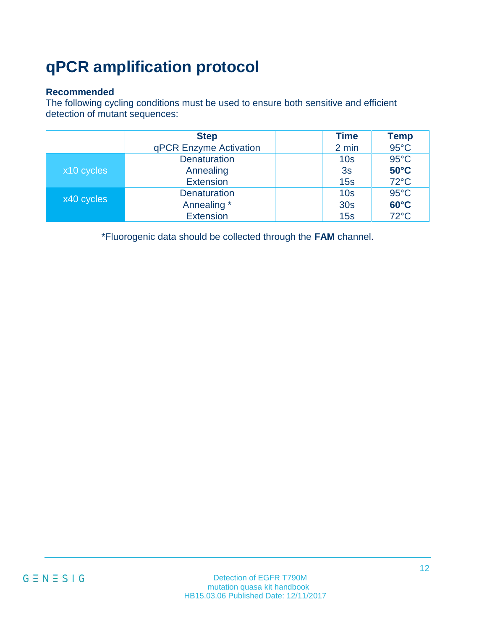# <span id="page-11-0"></span>**qPCR amplification protocol**

### **Recommended**

The following cycling conditions must be used to ensure both sensitive and efficient detection of mutant sequences:

|            | <b>Step</b>            | <b>Time</b>     | Temp           |
|------------|------------------------|-----------------|----------------|
|            | qPCR Enzyme Activation | 2 min           | $95^{\circ}$ C |
|            | <b>Denaturation</b>    | 10 <sub>s</sub> | $95^{\circ}$ C |
| x10 cycles | Annealing              | 3s              | $50^{\circ}$ C |
|            | <b>Extension</b>       | 15s             | $72^{\circ}$ C |
|            | <b>Denaturation</b>    | 10 <sub>s</sub> | $95^{\circ}$ C |
| x40 cycles | Annealing *            | 30 <sub>s</sub> | $60^{\circ}$ C |
|            | <b>Extension</b>       | 15s             | $72^{\circ}$ C |

\*Fluorogenic data should be collected through the **FAM** channel.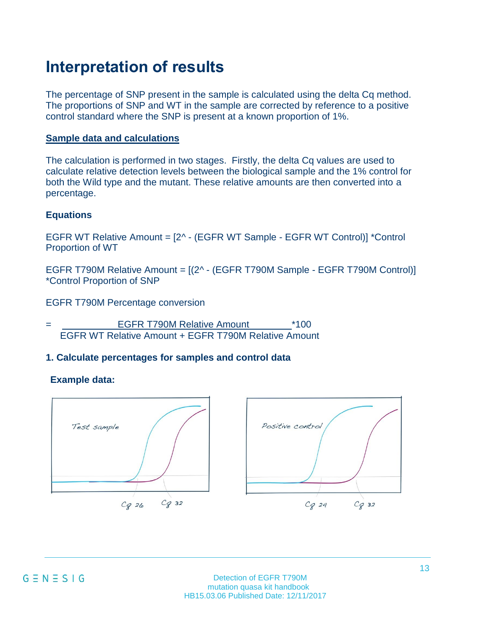# <span id="page-12-0"></span>**Interpretation of results**

The percentage of SNP present in the sample is calculated using the delta Cq method. The proportions of SNP and WT in the sample are corrected by reference to a positive control standard where the SNP is present at a known proportion of 1%.

### **Sample data and calculations**

The calculation is performed in two stages. Firstly, the delta Cq values are used to calculate relative detection levels between the biological sample and the 1% control for both the Wild type and the mutant. These relative amounts are then converted into a percentage.

### **Equations**

EGFR WT Relative Amount = [2^ - (EGFR WT Sample - EGFR WT Control)] \*Control Proportion of WT

EGFR T790M Relative Amount = [(2^ - (EGFR T790M Sample - EGFR T790M Control)] \*Control Proportion of SNP

EGFR T790M Percentage conversion

= **EGFR T790M Relative Amount** \*100 EGFR WT Relative Amount + EGFR T790M Relative Amount

### **1. Calculate percentages for samples and control data**

### **Example data:**